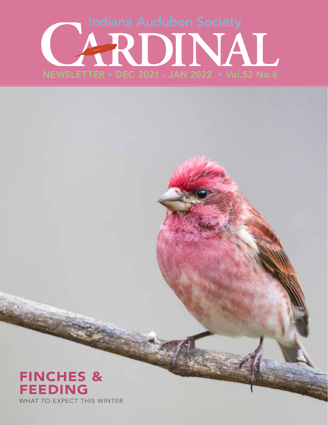# NEWSLETTER • DEC 2021 - JAN 2022 • Vol.52 No.6

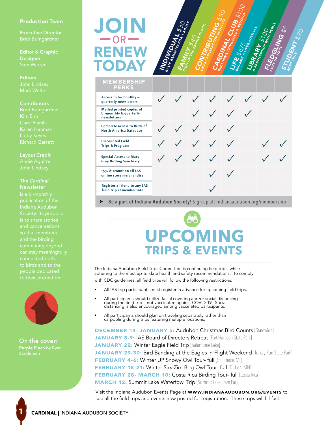#### Production Team

**Executive Director**

**Editor & Graphic Designer**

**Editors** John Lindsey Mark Welter

#### **Contributors**

Brad Bumgardner Kim Ehn Carol Harsh Karen Henman Libby Keyes

**Layout Credit**

#### **The** *Cardinal* **Newsletter**

publication of the Indiana Audubon Society. Its purpose is to share stories and conversations and the birding connected both to birds and to the



**On the cover:** Purple Finch by Ryan

**1**

# RENEW JOI TODAY  $-$ OR $-$



MEMBERSHIP

| <b>PERKS</b>                                                             |  |                                                     |            |                                        |               |  |
|--------------------------------------------------------------------------|--|-----------------------------------------------------|------------|----------------------------------------|---------------|--|
| Access to bi-monthly &<br>quarterly newsletters                          |  |                                                     |            |                                        | V V V V V V V |  |
| <b>Mailed printed copies of</b><br>bi-monthly & quarterly<br>newsletters |  |                                                     |            | $\checkmark$ $\checkmark$ $\checkmark$ |               |  |
| <b>Complete access to Birds of</b><br><b>North America Database</b>      |  | $\checkmark$ $\checkmark$ $\checkmark$ $\checkmark$ |            |                                        |               |  |
| <b>Discounted Field</b><br><b>Trips &amp; Programs</b>                   |  | V V V V                                             |            |                                        |               |  |
| <b>Special Access to Mary</b><br><b>Gray Birding Sanctuary</b>           |  | V V V V V                                           |            |                                        |               |  |
| 15% discount on all IAS<br>online store merchandise                      |  |                                                     | $\sqrt{2}$ |                                        |               |  |
| Register a friend to any IAS<br>field trip at member rate                |  |                                                     |            |                                        |               |  |

**Be a part of Indiana Audubon Society!** Sign up at: Indianaaudubon.org/membership

# **UPCOMING TRIPS & EVENTS**

The Indiana Audubon Field Trips Committee is continuing field trips, while adhering to the most up-to-date health and safety recommendations. To comply with CDC guidelines, all field trips will follow the following restrictions:

- All IAS trip participants must register in advance for upcoming field trips.
- All participants should utilize facial covering and/or social distancing during the field trip if not vaccinated against COVID-19. Social distancing is also encouraged among vaccinated participants.
- All participants should plan on traveling separately rather than carpooling during trips featuring multiple locations.

DECEMBER 14- JANUARY 5: Audubon Christmas Bird Counts [Statewide] JANUARY 8-9: IAS Board of Directors Retreat [Fort Harrison State Park] JANUARY 22: Winter Eagle Field Trip [Salamonie Lake] JANUARY 29-30: Bird Banding at the Eagles in Flight Weekend [Turkey Run State Park] FEBRUARY 4-6: Winter UP Snowy Owl Tour- full [St. Ignace, MI] FEBRUARY 18-21: Winter Sax-Zim Bog Owl Tour- full [Duluth, MN] FEBRUARY 28- MARCH 10: Costa Rica Birding Tour- full [Costa Rica] **MARCH 12: Summit Lake Waterfowl Trip** [Summit Lake State Park]

Visit the Indiana Audubon Events Page at WWW.INDIANAAUDUBON.ORG/EVENTS to see all the field trips and events now posted for registration. These trips will fill fast!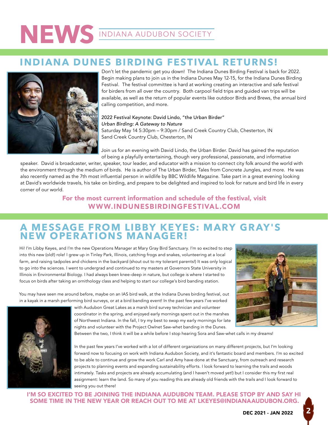## **INDIANA DUNES BIRDING FESTIVAL RETURNS!**



Don't let the pandemic get you down! The Indiana Dunes Birding Festival is back for 2022. Begin making plans to join us in the Indiana Dunes May 12-15, for the Indiana Dunes Birding Festival. The festival committee is hard at working creating an interactive and safe festival for birders from all over the country. Both carpool field trips and guided van trips will be available, as well as the return of popular events like outdoor Birds and Brews, the annual bird calling competition, and more.

2022 Festival Keynote: David Lindo, "the Urban Birder" *Urban Birding: A Gateway to Nature* Saturday May 14 5:30pm – 9:30pm / Sand Creek Country Club, Chesterton, IN Sand Creek Country Club, Chesterton, IN

Join us for an evening with David Lindo, the Urban Birder. David has gained the reputation of being a playfully entertaining, though very professional, passionate, and informative

speaker. David is broadcaster, writer, speaker, tour leader, and educator with a mission to connect city folk around the world with the environment through the medium of birds. He is author of The Urban Birder, Tales from Concrete Jungles, and more. He was also recently named as the 7th most influential person in wildlife by BBC Wildlife Magazine. Take part in a great evening looking at David's worldwide travels, his take on birding, and prepare to be delighted and inspired to look for nature and bird life in every corner of our world.

#### For the most current information and schedule of the festival, visit WWW.INDUNESBIRDINGFESTIVAL.COM

## **A MESSAGE FROM LIBBY KEYES: MARY GR AY'S NEW OPERATIONS MANAGER!**

Hi! I'm Libby Keyes, and I'm the new Operations Manager at Mary Gray Bird Sanctuary. I'm so excited to step into this new (old!) role! I grew up in Tinley Park, Illinois, catching frogs and snakes, volunteering at a local farm, and raising tadpoles and chickens in the backyard (shout out to my tolerant parents!) It was only logical to go into the sciences. I went to undergrad and continued to my masters at Governors State University in Illinois in Environmental Biology. I had always been knee-deep in nature, but college is where I started to focus on birds after taking an ornithology class and helping to start our college's bird banding station.

You may have seen me around before, maybe on an IAS bird walk, at the Indiana Dunes birding festival, out in a kayak in a marsh performing bird surveys, or at a bird banding event! In the past few years I've worked





with Audubon Great Lakes as a marsh bird survey technician and volunteer coordinator in the spring, and enjoyed early mornings spent out in the marshes of Northwest Indiana. In the fall, I try my best to swap my early mornings for late nights and volunteer with the Project Owlnet Saw-whet banding in the Dunes.

Between the two, I think it will be a while before I stop hearing Sora and Saw-whet calls in my dreams!

In the past few years I've worked with a lot of different organizations on many different projects, but I'm looking forward now to focusing on work with Indiana Audubon Society, and it's fantastic board and members. I'm so excited to be able to continue and grow the work Carl and Amy have done at the Sanctuary, from outreach and research projects to planning events and expanding sustainability efforts. I look forward to learning the trails and woods intimately. Tasks and projects are already accumulating (and I haven't moved yet!) but I consider this my first real assignment: learn the land. So many of you reading this are already old friends with the trails and I look forward to seeing you out there!

I'M SO EXCITED TO BE JOINING THE INDIANA AUDUBON TEAM. PLEASE STOP BY AND SAY HI SOME TIME IN THE NEW YEAR OR REACH OUT TO ME AT LKEYES@INDIANAAUDUBON.ORG.

#### DEC 2021 - JAN 2022 **2**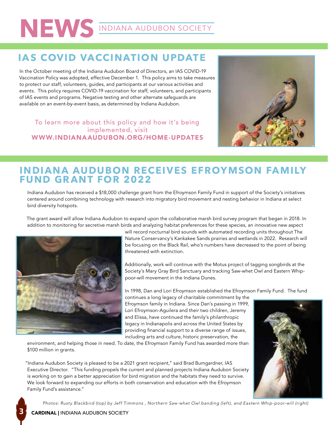# **NEWS** INDIANA AUDUBON SOCIETY

# **IAS COVID VACCINATION UPDATE**

In the October meeting of the Indiana Audubon Board of Directors, an IAS COVID-19 Vaccination Policy was adopted, effective December 1. This policy aims to take measures to protect our staff, volunteers, guides, and participants at our various activities and events. This policy requires COVID-19 vaccination for staff, volunteers, and participants of IAS events and programs. Negative testing and other alternate safeguards are available on an event-by-event basis, as determined by Indiana Audubon.

To learn more about this policy and how it's being implemented, visit WWW.INDIANAAUDUBON.ORG/HOME-UPDATES



### **INDIANA AUDUBON RECEIVES EFROYMSON FAMILY FUND GRANT FOR 2022**

Indiana Audubon has received a \$18,000 challenge grant from the Efroymson Family Fund in support of the Society's initiatives centered around combining technology with research into migratory bird movement and nesting behavior in Indiana at select bird diversity hotspots.

The grant award will allow Indiana Audubon to expand upon the collaborative marsh bird survey program that began in 2018. In addition to monitoring for secretive marsh birds and analyzing habitat preferences for these species, an innovative new aspect



will record nocturnal bird sounds with automated recording units throughout The Nature Conservancy's Kankakee Sands prairies and wetlands in 2022. Research will be focusing on the Black Rail, who's numbers have decreased to the point of being threatened with extinction.

Additionally, work will continue with the Motus project of tagging songbirds at the Society's Mary Gray Bird Sanctuary and tracking Saw-whet Owl and Eastern Whippoor-will movement in the Indiana Dunes.

In 1998, Dan and Lori Efroymson established the Efroymson Family Fund. The fund

continues a long legacy of charitable commitment by the Efroymson family in Indiana. Since Dan's passing in 1999, Lori Efroymson-Aguilera and their two children, Jeremy and Elissa, have continued the family's philanthropic legacy in Indianapolis and across the United States by providing financial support to a diverse range of issues, including arts and culture, historic preservation, the

environment, and helping those in need. To date, the Efroymson Family Fund has awarded more than \$100 million in grants.

"Indiana Audubon Society is pleased to be a 2021 grant recipient," said Brad Bumgardner, IAS Executive Director. "This funding propels the current and planned projects Indiana Audubon Society is working on to gain a better appreciation for bird migration and the habitats they need to survive. We look forward to expanding our efforts in both conservation and education with the Efroymson Family Fund's assistance."

*Photos: Rusty Blackbird (top) by Jeff Timmons , Northern Saw-whet Owl banding (left), and Eastern Whip-poor-will (right)*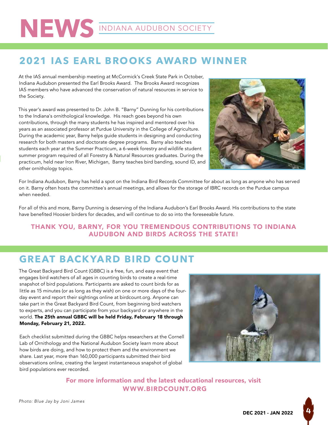# NEWS INDIANA AUDUBON SOCIETY

## **2021 IAS EARL BROOKS AWARD WINNER**

At the IAS annual membership meeting at McCormick's Creek State Park in October, Indiana Audubon presented the Earl Brooks Award. The Brooks Award recognizes IAS members who have advanced the conservation of natural resources in service to the Society.

This year's award was presented to Dr. John B. "Barny" Dunning for his contributions to the Indiana's ornithological knowledge. His reach goes beyond his own contributions, through the many students he has inspired and mentored over his years as an associated professor at Purdue University in the College of Agriculture. During the academic year, Barny helps guide students in designing and conducting research for both masters and doctorate degree programs. Barny also teaches students each year at the Summer Practicum, a 6-week forestry and wildlife student summer program required of all Forestry & Natural Resources graduates. During the practicum, held near Iron River, Michigan, Barny teaches bird banding, sound ID, and other ornithology topics.



For Indiana Audubon, Barny has held a spot on the Indiana Bird Records Committee for about as long as anyone who has served on it. Barny often hosts the committee's annual meetings, and allows for the storage of IBRC records on the Purdue campus when needed.

For all of this and more, Barny Dunning is deserving of the Indiana Audubon's Earl Brooks Award. His contributions to the state have benefited Hoosier birders for decades, and will continue to do so into the foreseeable future.

#### THANK YOU, BARNY, FOR YOU TREMENDOUS CONTRIBUTIONS TO INDIANA AUDUBON AND BIRDS ACROSS THE STATE!

## **GRE AT BACK YARD BIRD COUNT**

The Great Backyard Bird Count (GBBC) is a free, fun, and easy event that engages bird watchers of all ages in counting birds to create a real-time snapshot of bird populations. Participants are asked to count birds for as little as 15 minutes (or as long as they wish) on one or more days of the fourday event and report their sightings online at birdcount.org. Anyone can take part in the Great Backyard Bird Count, from beginning bird watchers to experts, and you can participate from your backyard or anywhere in the world. The 25th annual GBBC will be held Friday, February 18 through Monday, February 21, 2022.

Each checklist submitted during the GBBC helps researchers at the Cornell Lab of Ornithology and the National Audubon Society learn more about how birds are doing, and how to protect them and the environment we share. Last year, more than 160,000 participants submitted their bird observations online, creating the largest instantaneous snapshot of global bird populations ever recorded.



For more information and the latest educational resources, visit WWW.BIRDCOUNT.ORG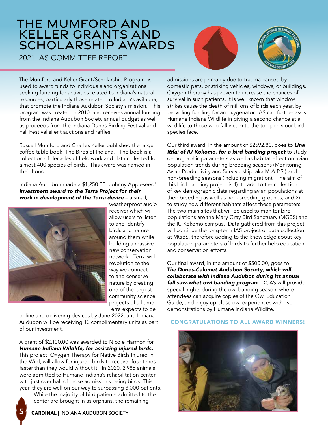# THE MUMFORD AND KELLER GRANTS AND SCHOLARSHIP AWARDS

2021 IAS COMMITTEE REPORT



The Mumford and Keller Grant/Scholarship Program is used to award funds to individuals and organizations seeking funding for activities related to Indiana's natural resources, particularly those related to Indiana's avifauna, that promote the Indiana Audubon Society's mission. This program was created in 2010, and receives annual funding from the Indiana Audubon Society annual budget as well as proceeds from the Indiana Dunes Birding Festival and Fall Festival silent auctions and raffles.

Russell Mumford and Charles Keller published the large coffee table book, The Birds of Indiana. The book is a collection of decades of field work and data collected for almost 400 species of birds. This award was named in their honor.

Indiana Audubon made a \$1,250.00 "Johnny Appleseed" *investment award to the Terra Project for their work in development of the Terra device* – a small,



weatherproof audio receiver which will allow users to listen to and identify birds and nature around them while building a massive new conservation network. Terra will revolutionize the way we connect to and conserve nature by creating one of the largest community science projects of all time. Terra expects to be

online and delivering devices by June 2022, and Indiana Audubon will be receiving 10 complimentary units as part of our investment.

A grant of \$2,100.00 was awarded to Nicole Harmon for *Humane Indiana Wildlife, for assisting injured birds.* This project, Oxygen Therapy for Native Birds Injured in the Wild, will allow for injured birds to recover four times faster than they would without it. In 2020, 2,985 animals were admitted to Humane Indiana's rehabilitation center, with just over half of those admissions being birds. This year, they are well on our way to surpassing 3,000 patients.

While the majority of bird patients admitted to the center are brought in as orphans, the remaining

admissions are primarily due to trauma caused by domestic pets, or striking vehicles, windows, or buildings. Oxygen therapy has proven to increase the chances of survival in such patients. It is well known that window strikes cause the death of millions of birds each year, by providing funding for an oxygenator, IAS can further assist Humane Indiana Wildlife in giving a second chance at a wild life to those who fall victim to the top perils our bird species face.

Our third award, in the amount of \$2592.80, goes to *Lina Rifai of IU Kokomo, for a bird banding project* to study demographic parameters as well as habitat effect on avian population trends during breeding seasons (Monitoring Avian Productivity and Survivorship, aka M.A.P.S.) and non-breeding seasons (including migration). The aim of this bird banding project is 1) to add to the collection of key demographic data regarding avian populations at their breeding as well as non-breeding grounds, and 2) to study how different habitats affect these parameters. The two main sites that will be used to monitor bird populations are the Mary Gray Bird Sanctuary (MGBS) and the IU Kokomo campus. Data gathered from this project will continue the long-term IAS project of data collection at MGBS, therefore adding to the knowledge about key population parameters of birds to further help education and conservation efforts.

Our final award, in the amount of \$500.00, goes to *The Dunes-Calumet Audubon Society, which will collaborate with Indiana Audubon during its annual fall saw-whet owl banding program*. DCAS will provide special nights during the owl banding season, where attendees can acquire copies of the Owl Education Guide, and enjoy up-close owl experiences with live demonstrations by Humane Indiana Wildlife.

#### CONGRATULATIONS TO ALL AWARD WINNERS!

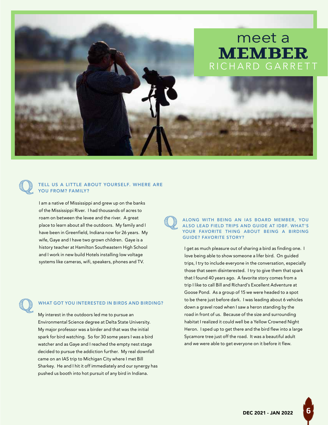

#### **Q** TELL US A LITTLE ABOUT YOURSELF. WHERE ARE YOU FROM? FAMILY?

I am a native of Mississippi and grew up on the banks of the Mississippi River. I had thousands of acres to roam on between the levee and the river. A great place to learn about all the outdoors. My family and I have been in Greenfield, Indiana now for 26 years. My wife, Gaye and I have two grown children. Gaye is a history teacher at Hamilton Southeastern High School and I work in new build Hotels installing low voltage systems like cameras, wifi, speakers, phones and TV.

#### **Q** WHAT GOT YOU INTERESTED IN BIRDS AND BIRDING?

My interest in the outdoors led me to pursue an Environmental Science degree at Delta State University. My major professor was a birder and that was the initial spark for bird watching. So for 30 some years I was a bird watcher and as Gaye and I reached the empty nest stage decided to pursue the addiction further. My real downfall came on an IAS trip to Michigan City where I met Bill Sharkey. He and I hit it off immediately and our synergy has pushed us booth into hot pursuit of any bird in Indiana.

#### **Q** ALONG WITH BEING AN IAS BOARD MEMBER, YOU ALSO LEAD FIELD TRIPS AND GUIDE AT IDBF. WHAT'S YOUR FAVORITE THING ABOUT BEING A BIRDING GUIDE? FAVORITE STORY?

I get as much pleasure out of sharing a bird as finding one. I love being able to show someone a lifer bird. On guided trips, I try to include everyone in the conversation, especially those that seem disinterested. I try to give them that spark that I found 40 years ago. A favorite story comes from a trip I like to call Bill and Richard's Excellent Adventure at Goose Pond. As a group of 15 we were headed to a spot to be there just before dark. I was leading about 6 vehicles down a gravel road when I saw a heron standing by the road in front of us. Because of the size and surrounding habitat I realized it could well be a Yellow Crowned Night Heron. I sped up to get there and the bird flew into a large Sycamore tree just off the road. It was a beautiful adult and we were able to get everyone on it before it flew.

**6**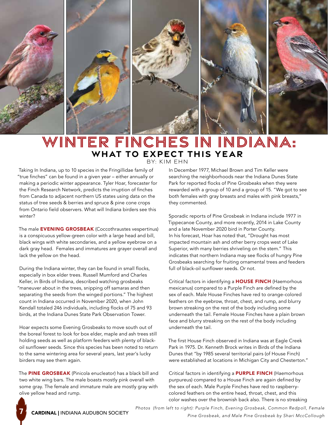

# WINTER FINCHES IN INDIANA: **WHAT TO EXPECT THIS YEAR**

BY: KIM EHN

Taking In Indiana, up to 10 species in the Fringillidae family of "true finches" can be found in a given year – either annually or making a periodic winter appearance. Tyler Hoar, forecaster for the Finch Research Network, predicts the irruption of finches from Canada to adjacent northern US states using data on the status of tree seeds & berries and spruce & pine cone crops from Ontario field observers. What will Indiana birders see this winter?

The male **EVENING GROSBEAK** (Coccothraustes vespertinus) is a conspicuous yellow-green color with a large head and bill, black wings with white secondaries, and a yellow eyebrow on a dark gray head. Females and immatures are grayer overall and lack the yellow on the head.

During the Indiana winter, they can be found in small flocks, especially in box elder trees. Russell Mumford and Charles Keller, in Birds of Indiana, described watching grosbeaks "maneuver about in the trees, snipping off samaras and then separating the seeds from the winged portions." The highest count in Indiana occurred in November 2020, when John Kendall totaled 246 individuals, including flocks of 75 and 93 birds, at the Indiana Dunes State Park Observation Tower.

Hoar expects some Evening Grosbeaks to move south out of the boreal forest to look for box elder, maple and ash trees still holding seeds as well as platform feeders with plenty of blackoil sunflower seeds. Since this species has been noted to return to the same wintering area for several years, last year's lucky birders may see them again.

The **PINE GROSBEAK** (Pinicola enucleator) has a black bill and two white wing bars. The male boasts mostly pink overall with some gray. The female and immature male are mostly gray with olive yellow head and rump.

In December 1977, Michael Brown and Tim Keller were searching the neighborhoods near the Indiana Dunes State Park for reported flocks of Pine Grosbeaks when they were rewarded with a group of 10 and a group of 15. "We got to see both females with gray breasts and males with pink breasts," they commented.

Sporadic reports of Pine Grosbeak in Indiana include 1977 in Tippecanoe County, and more recently, 2014 in Lake County and a late November 2020 bird in Porter County. In his forecast, Hoar has noted that, "Drought has most impacted mountain ash and other berry crops west of Lake Superior, with many berries shriveling on the stem." This indicates that northern Indiana may see flocks of hungry Pine Grosbeaks searching for fruiting ornamental trees and feeders full of black-oil sunflower seeds. Or not.

Critical factors in identifying a HOUSE FINCH (Haemorhous mexicanus) compared to a Purple Finch are defined by the sex of each. Male House Finches have red to orange-colored feathers on the eyebrow, throat, chest, and rump, and blurry brown streaking on the rest of the body including some underneath the tail. Female House Finches have a plain brown face and blurry streaking on the rest of the body including underneath the tail.

The first House Finch observed in Indiana was at Eagle Creek Park in 1975. Dr. Kenneth Brock writes in Birds of the Indiana Dunes that "by 1985 several territorial pairs (of House Finch) were established at locations in Michigan City and Chesterton."

Critical factors in identifying a PURPLE FINCH (Haemorhous purpureus) compared to a House Finch are again defined by the sex of each. Male Purple Finches have red to raspberrycolored feathers on the entire head, throat, chest, and this color washes over the brownish back also. There is no streaking

**7**

*Photos (from left to right): Purple Finch, Evening Grosbeak, Common Redpoll, Female Pine Grosbeak, and Male Pine Grosbeak by Shari MccCollough* CARDINAL | INDIANA AUDUBON SOCIETY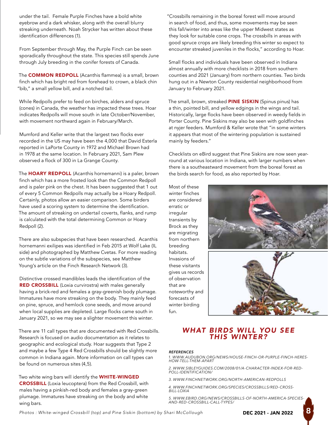under the tail. Female Purple Finches have a bold white eyebrow and a dark whisker, along with the overall blurry streaking underneath. Noah Strycker has written about these identification differences (1).

From September through May, the Purple Finch can be seen sporadically throughout the state. This species still spends June through July breeding in the conifer forests of Canada.

The **COMMON REDPOLL** (Acanthis flammea) is a small, brown finch which has bright red from forehead to crown, a black chin "bib," a small yellow bill, and a notched tail.

While Redpolls prefer to feed on birches, alders and spruce (cones) in Canada, the weather has impacted these trees. Hoar indicates Redpolls will move south in late October/November, with movement northward again in February/March.

Mumford and Keller write that the largest two flocks ever recorded in the US may have been the 4,000 that David Esterla reported in LaPorte County in 1972 and Michael Brown had in 1978 at the same location. In February 2021, Sam Plew observed a flock of 300 in La Grange County.

The **HOARY REDPOLL** (Acanthis hornemanni) is a paler, brown finch which has a more frosted look than the Common Redpoll and is paler pink on the chest. It has been suggested that 1 out of every 5 Common Redpolls may actually be a Hoary Redpoll. Certainly, photos allow an easier comparison. Some birders have used a scoring system to determine the identification. The amount of streaking on undertail coverts, flanks, and rump is calculated with the total determining Common or Hoary Redpoll (2).

There are also subspecies that have been researched. Acanthis hornemanni exilipes was identified in Feb 2015 at Wolf Lake (IL side) and photographed by Matthew Cvetas. For more reading on the subtle variations of the subspecies, see Matthew Young's article on the Finch Research Network (3).

Distinctive crossed mandibles leads the identification of the RED CROSSBILL (Loxia curvirostra) with males generally having a brick-red and females a gray-greenish body plumage. Immatures have more streaking on the body. They mainly feed on pine, spruce, and hemlock cone seeds, and move around when local supplies are depleted. Large flocks came south in January 2021, so we may see a slighter movement this winter.

There are 11 call types that are documented with Red Crossbills. Research is focused on audio documentation as it relates to geographic and ecological study. Hoar suggests that Type 2 and maybe a few Type 4 Red Crossbills should be slightly more common in Indiana again. More information on call types can be found on numerous sites (4,5).

Two white wing bars will identify the **WHITE-WINGED** CROSSBILL (Loxia leucoptera) from the Red Crossbill, with males having a pinkish-red body and females a gray-green plumage. Immatures have streaking on the body and white wing bars.

"Crossbills remaining in the boreal forest will move around in search of food, and thus, some movements may be seen this fall/winter into areas like the upper Midwest states as they look for suitable cone crops. The crossbills in areas with good spruce crops are likely breeding this winter so expect to encounter streaked juveniles in the flocks," according to Hoar.

Small flocks and individuals have been observed in Indiana almost annually with more checklists in 2018 from southern counties and 2021 (January) from northern counties. Two birds hung out in a Newton County residential neighborhood from January to February 2021.

The small, brown, streaked PINE SISKIN (Spinus pinus) has a thin, pointed bill, and yellow edgings in the wings and tail. Historically, large flocks have been observed in weedy fields in Porter County. Pine Siskins may also be seen with goldfinches at nyjer feeders. Mumford & Keller wrote that "in some winters it appears that most of the wintering population is sustained mainly by feeders."

Checklists on eBird suggest that Pine Siskins are now seen yearround at various location in Indiana, with larger numbers when there is a southeastward movement from the boreal forest as the birds search for food, as also reported by Hoar.

Most of these winter finches are considered erratic or irregular transients by Brock as they are migrating from northern breeding habitats. Invasions of these visitants gives us records of observation that are noteworthy and forecasts of winter birding fun.





#### *WHAT BIRDS WILL YOU SEE THIS WINTER?*

#### *REFERENCES*

*1. WWW.AUDUBON.ORG/NEWS/HOUSE-FINCH-OR-PURPLE-FINCH-HERES-HOW-TELL-THEM-APART*

*2. WWW.SIBLEYGUIDES.COM/2008/01/A-CHARACTER-INDEX-FOR-RED- POLL-IDENTIFICATION/*

- *3. WWW.FINCHNETWORK.ORG/NORTH-AMERICAN-REDPOLLS*
- *4. WWW.FINCHNETWORK.ORG/SPECIES/CROSSBILLS/RED-CROSS-BILL-LOXIA*

*5. WWW.EBIRD.ORG/NEWS/CROSSBILLS-OF-NORTH-AMERICA-SPECIES-AND-RED-CROSSBILL-CALL-TYPES/*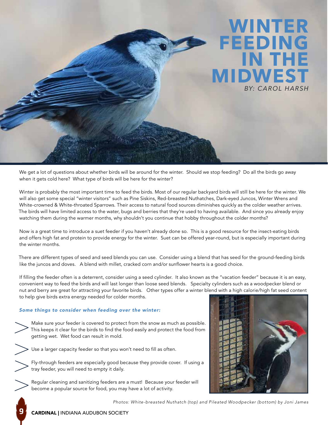

We get a lot of questions about whether birds will be around for the winter. Should we stop feeding? Do all the birds go away when it gets cold here? What type of birds will be here for the winter?

Winter is probably the most important time to feed the birds. Most of our regular backyard birds will still be here for the winter. We will also get some special "winter visitors" such as Pine Siskins, Red-breasted Nuthatches, Dark-eyed Juncos, Winter Wrens and White-crowned & White-throated Sparrows. Their access to natural food sources diminishes quickly as the colder weather arrives. The birds will have limited access to the water, bugs and berries that they're used to having available. And since you already enjoy watching them during the warmer months, why shouldn't you continue that hobby throughout the colder months?

Now is a great time to introduce a suet feeder if you haven't already done so. This is a good resource for the insect-eating birds and offers high fat and protein to provide energy for the winter. Suet can be offered year-round, but is especially important during the winter months.

There are different types of seed and seed blends you can use. Consider using a blend that has seed for the ground-feeding birds like the juncos and doves. A blend with millet, cracked corn and/or sunflower hearts is a good choice.

If filling the feeder often is a deterrent, consider using a seed cylinder. It also known as the "vacation feeder" because it is an easy, convenient way to feed the birds and will last longer than loose seed blends. Specialty cylinders such as a woodpecker blend or nut and berry are great for attracting your favorite birds. Other types offer a winter blend with a high calorie/high fat seed content to help give birds extra energy needed for colder months.

#### *Some things to consider when feeding over the winter:*

- Make sure your feeder is covered to protect from the snow as much as possible. This keeps it clear for the birds to find the food easily and protect the food from getting wet. Wet food can result in mold.
- 

Use a larger capacity feeder so that you won't need to fill as often.

- Fly-through feeders are especially good because they provide cover. If using a tray feeder, you will need to empty it daily.
- Regular cleaning and sanitizing feeders are a must! Because your feeder will become a popular source for food, you may have a lot of activity.



*Photos: White-breasted Nuthatch (top) and Pileated Woodpecker (bottom) by Joni James*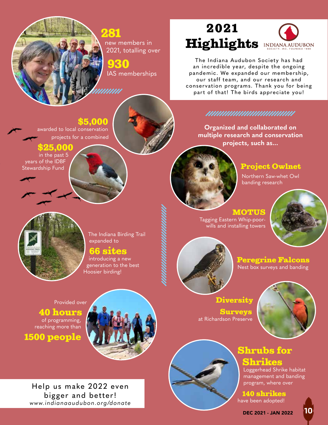#### 281 new members in 2021, totalling over

930 IAS memberships

unnn

# 2021 **Highlights INDIANA AUDUBON**

The Indiana Audubon Society has had an incredible year, despite the ongoing pandemic. We expanded our membership, our staff team, and our research and conservation programs. Thank you for being part of that! The birds appreciate you!

#### *MAHAHAHAHAHAHAHAHAH*

**Organized and collaborated on multiple research and conservation projects, such as...**



#### Project Owlnet

Northern Saw-whet Owl banding research



The Indiana Birding Trail expanded to

#### 66 sites

\$5,000

awarded to local conservation

\$25,000 in the past 5

years of the IDBF Stewardship Fund

projects for a combined

introducing a new generation to the best Hoosier birding!

#### **MOTUS** Tagging Eastern Whip-poorwills and installing towers

Diversity

Surveys

at Richardson Preserve





Peregrine Falcons Nest box surveys and banding



40 hours of programming, reaching more than

## 1500 people



Help us make 2022 even bigger and better! *www.indianaaudubon.org/dona te*

# Shrubs for

# Shrikes

Loggerhead Shrike habitat management and banding program, where over

140 shrikes have been adopted!

DEC 2021 - JAN 2022 **10**